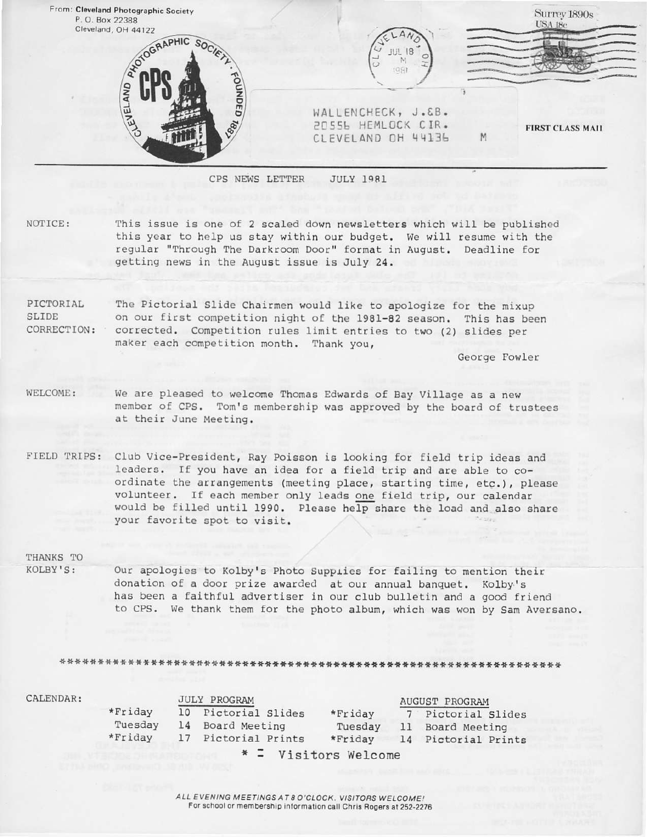| P.O. Box 22388<br>Cleveland, OH 44122 |                                                                |   | Surrey 1890s<br>USA 18c |
|---------------------------------------|----------------------------------------------------------------|---|-------------------------|
| ADTOGRAPHIC SOCIETY<br>OUNDED<br>AND  | (98)                                                           |   |                         |
| <b>LEVEL</b><br>Lagy                  | WALLENCHECK, J.&B.<br>2055b HEMLOCK CIR.<br>CLEVELAND OH 44136 | M | <b>FIRST CLASS MAIL</b> |

NOTICE: This issue is one of 2 scaled down newsletters which will be published this year to help us stay within our budget. We will resume with the regular "Through The Darkroom Door" format in August. Deadline for getting news in the August issue is July 24,

PICTORIAL SLIOE CORRECTION: Corrected. Competition rules limit entries to two (2) slides per The Pictorial Slide Chairmen would like to apologize for the mixup on our first competition night of the 1981-82 season. This has been maker each competition month. Thank you,

Ceorge Fowler

- WELCOME: We are pleased to welcome Thomas Edwards of Bay Village as a new member of CPS. Tom's membership was approved by the board of trustees at their June Meeting.
- FIELD TRIPS: Club Vice-President, Ray Poisson is looking for field trip ideas and leaders. If you have an idea for a field trip and are able to coordinate the arrangements (meeting place, starting time, etc.), please volunteer. If each member only leads one field trip, our calendar would be filled until 1990. Please help share the load and also share your favorite spot to visit.

# THANKS To

KOLBY'S: Our apologies to Kolby's Photo Supplies for failing to mention their donation of a door prize awarded at our annual banquet. Kolby's has been a faithful advertiser in our club bulletin and a good friend to CPS. We thank them for the photo album, which was won by Sam Aversano.

+++\*+n\*\*++\*\*\*\*\*+\*\*++4\*tt\*\*+\*+.F\*\*t\*+\*t\*.\*.r.F\*.r\*\*\*\*+lt\*\*t\*.F.rr++lr\*r..F\*+\*\*

JULY PROGRAM<br>10 Pictorial Slides \*Friday 7 Pictorial 10 Pictorial Slides \*Friday 7 Pictorial Slides<br>14 Board Meeting Tuesday 11 Board Meeting Tuesday 11 Board Meeting<br>\*Friday 14 Pictorial Prints 17 Pictorial Prints \* <sup>=</sup> Visitors Welcome \*Fr iday Tuesday \*Friday CALENDAR: